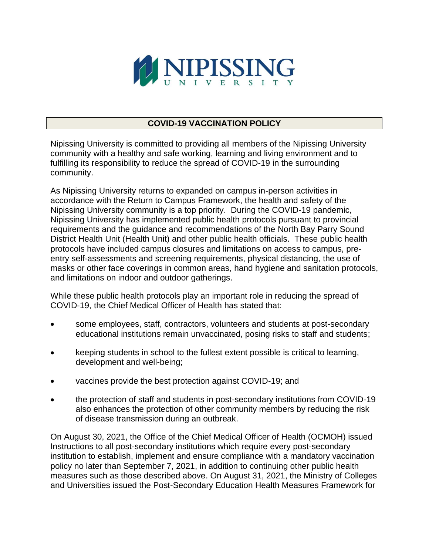

# **COVID-19 VACCINATION POLICY**

Nipissing University is committed to providing all members of the Nipissing University community with a healthy and safe working, learning and living environment and to fulfilling its responsibility to reduce the spread of COVID-19 in the surrounding community.

As Nipissing University returns to expanded on campus in-person activities in accordance with the Return to Campus Framework, the health and safety of the Nipissing University community is a top priority. During the COVID-19 pandemic, Nipissing University has implemented public health protocols pursuant to provincial requirements and the guidance and recommendations of the North Bay Parry Sound District Health Unit (Health Unit) and other public health officials. These public health protocols have included campus closures and limitations on access to campus, preentry self-assessments and screening requirements, physical distancing, the use of masks or other face coverings in common areas, hand hygiene and sanitation protocols, and limitations on indoor and outdoor gatherings.

While these public health protocols play an important role in reducing the spread of COVID-19, the Chief Medical Officer of Health has stated that:

- some employees, staff, contractors, volunteers and students at post-secondary educational institutions remain unvaccinated, posing risks to staff and students;
- keeping students in school to the fullest extent possible is critical to learning, development and well-being;
- vaccines provide the best protection against COVID-19; and
- the protection of staff and students in post-secondary institutions from COVID-19 also enhances the protection of other community members by reducing the risk of disease transmission during an outbreak.

On August 30, 2021, the Office of the Chief Medical Officer of Health (OCMOH) issued Instructions to all post-secondary institutions which require every post-secondary institution to establish, implement and ensure compliance with a mandatory vaccination policy no later than September 7, 2021, in addition to continuing other public health measures such as those described above. On August 31, 2021, the Ministry of Colleges and Universities issued the Post-Secondary Education Health Measures Framework for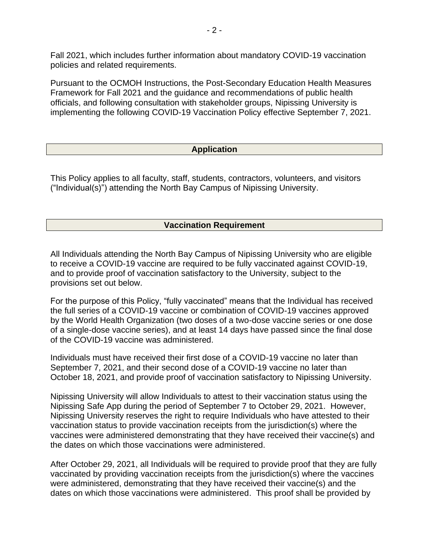Fall 2021, which includes further information about mandatory COVID-19 vaccination policies and related requirements.

Pursuant to the OCMOH Instructions, the Post-Secondary Education Health Measures Framework for Fall 2021 and the guidance and recommendations of public health officials, and following consultation with stakeholder groups, Nipissing University is implementing the following COVID-19 Vaccination Policy effective September 7, 2021.

## **Application**

This Policy applies to all faculty, staff, students, contractors, volunteers, and visitors ("Individual(s)") attending the North Bay Campus of Nipissing University.

#### **Vaccination Requirement**

All Individuals attending the North Bay Campus of Nipissing University who are eligible to receive a COVID-19 vaccine are required to be fully vaccinated against COVID-19, and to provide proof of vaccination satisfactory to the University, subject to the provisions set out below.

For the purpose of this Policy, "fully vaccinated" means that the Individual has received the full series of a COVID-19 vaccine or combination of COVID-19 vaccines approved by the World Health Organization (two doses of a two-dose vaccine series or one dose of a single-dose vaccine series), and at least 14 days have passed since the final dose of the COVID-19 vaccine was administered.

Individuals must have received their first dose of a COVID-19 vaccine no later than September 7, 2021, and their second dose of a COVID-19 vaccine no later than October 18, 2021, and provide proof of vaccination satisfactory to Nipissing University.

Nipissing University will allow Individuals to attest to their vaccination status using the Nipissing Safe App during the period of September 7 to October 29, 2021. However, Nipissing University reserves the right to require Individuals who have attested to their vaccination status to provide vaccination receipts from the jurisdiction(s) where the vaccines were administered demonstrating that they have received their vaccine(s) and the dates on which those vaccinations were administered.

After October 29, 2021, all Individuals will be required to provide proof that they are fully vaccinated by providing vaccination receipts from the jurisdiction(s) where the vaccines were administered, demonstrating that they have received their vaccine(s) and the dates on which those vaccinations were administered. This proof shall be provided by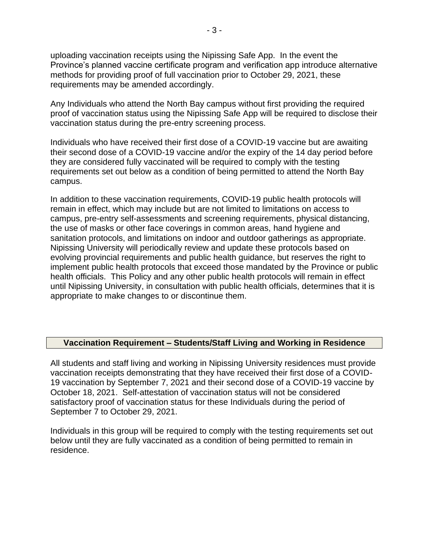uploading vaccination receipts using the Nipissing Safe App. In the event the Province's planned vaccine certificate program and verification app introduce alternative methods for providing proof of full vaccination prior to October 29, 2021, these requirements may be amended accordingly.

Any Individuals who attend the North Bay campus without first providing the required proof of vaccination status using the Nipissing Safe App will be required to disclose their vaccination status during the pre-entry screening process.

Individuals who have received their first dose of a COVID-19 vaccine but are awaiting their second dose of a COVID-19 vaccine and/or the expiry of the 14 day period before they are considered fully vaccinated will be required to comply with the testing requirements set out below as a condition of being permitted to attend the North Bay campus.

In addition to these vaccination requirements, COVID-19 public health protocols will remain in effect, which may include but are not limited to limitations on access to campus, pre-entry self-assessments and screening requirements, physical distancing, the use of masks or other face coverings in common areas, hand hygiene and sanitation protocols, and limitations on indoor and outdoor gatherings as appropriate. Nipissing University will periodically review and update these protocols based on evolving provincial requirements and public health guidance, but reserves the right to implement public health protocols that exceed those mandated by the Province or public health officials. This Policy and any other public health protocols will remain in effect until Nipissing University, in consultation with public health officials, determines that it is appropriate to make changes to or discontinue them.

## **Vaccination Requirement – Students/Staff Living and Working in Residence**

All students and staff living and working in Nipissing University residences must provide vaccination receipts demonstrating that they have received their first dose of a COVID-19 vaccination by September 7, 2021 and their second dose of a COVID-19 vaccine by October 18, 2021. Self-attestation of vaccination status will not be considered satisfactory proof of vaccination status for these Individuals during the period of September 7 to October 29, 2021.

Individuals in this group will be required to comply with the testing requirements set out below until they are fully vaccinated as a condition of being permitted to remain in residence.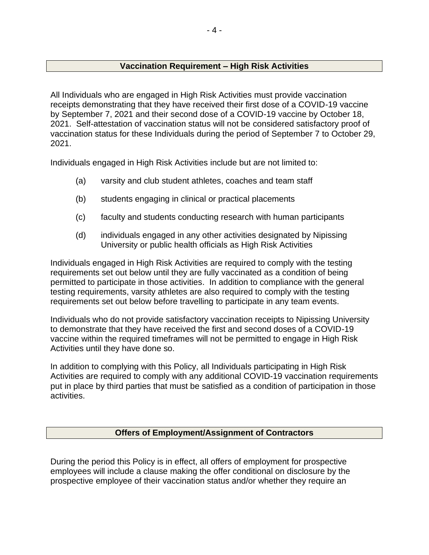# **Vaccination Requirement – High Risk Activities**

All Individuals who are engaged in High Risk Activities must provide vaccination receipts demonstrating that they have received their first dose of a COVID-19 vaccine by September 7, 2021 and their second dose of a COVID-19 vaccine by October 18, 2021. Self-attestation of vaccination status will not be considered satisfactory proof of vaccination status for these Individuals during the period of September 7 to October 29, 2021.

Individuals engaged in High Risk Activities include but are not limited to:

- (a) varsity and club student athletes, coaches and team staff
- (b) students engaging in clinical or practical placements
- (c) faculty and students conducting research with human participants
- (d) individuals engaged in any other activities designated by Nipissing University or public health officials as High Risk Activities

Individuals engaged in High Risk Activities are required to comply with the testing requirements set out below until they are fully vaccinated as a condition of being permitted to participate in those activities. In addition to compliance with the general testing requirements, varsity athletes are also required to comply with the testing requirements set out below before travelling to participate in any team events.

Individuals who do not provide satisfactory vaccination receipts to Nipissing University to demonstrate that they have received the first and second doses of a COVID-19 vaccine within the required timeframes will not be permitted to engage in High Risk Activities until they have done so.

In addition to complying with this Policy, all Individuals participating in High Risk Activities are required to comply with any additional COVID-19 vaccination requirements put in place by third parties that must be satisfied as a condition of participation in those activities.

## **Offers of Employment/Assignment of Contractors**

During the period this Policy is in effect, all offers of employment for prospective employees will include a clause making the offer conditional on disclosure by the prospective employee of their vaccination status and/or whether they require an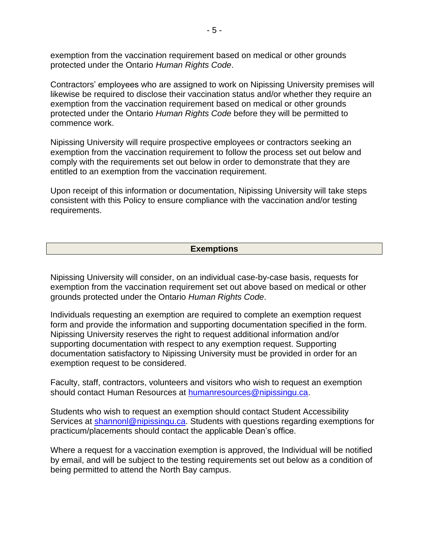exemption from the vaccination requirement based on medical or other grounds protected under the Ontario *Human Rights Code*.

Contractors' employees who are assigned to work on Nipissing University premises will likewise be required to disclose their vaccination status and/or whether they require an exemption from the vaccination requirement based on medical or other grounds protected under the Ontario *Human Rights Code* before they will be permitted to commence work.

Nipissing University will require prospective employees or contractors seeking an exemption from the vaccination requirement to follow the process set out below and comply with the requirements set out below in order to demonstrate that they are entitled to an exemption from the vaccination requirement.

Upon receipt of this information or documentation, Nipissing University will take steps consistent with this Policy to ensure compliance with the vaccination and/or testing requirements.

#### **Exemptions**

Nipissing University will consider, on an individual case-by-case basis, requests for exemption from the vaccination requirement set out above based on medical or other grounds protected under the Ontario *Human Rights Code*.

Individuals requesting an exemption are required to complete an exemption request form and provide the information and supporting documentation specified in the form. Nipissing University reserves the right to request additional information and/or supporting documentation with respect to any exemption request. Supporting documentation satisfactory to Nipissing University must be provided in order for an exemption request to be considered.

Faculty, staff, contractors, volunteers and visitors who wish to request an exemption should contact Human Resources at [humanresources@nipissingu.ca.](mailto:humanresources@nipissingu.ca)

Students who wish to request an exemption should contact Student Accessibility Services at [shannonl@nipissingu.ca.](mailto:shannonl@nipissingu.ca) Students with questions regarding exemptions for practicum/placements should contact the applicable Dean's office.

Where a request for a vaccination exemption is approved, the Individual will be notified by email, and will be subject to the testing requirements set out below as a condition of being permitted to attend the North Bay campus.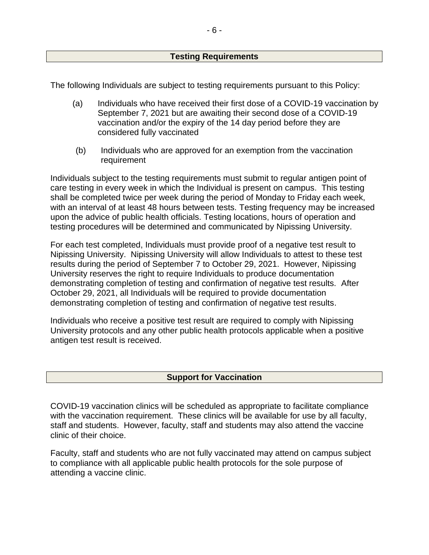## **Testing Requirements**

The following Individuals are subject to testing requirements pursuant to this Policy:

- (a) Individuals who have received their first dose of a COVID-19 vaccination by September 7, 2021 but are awaiting their second dose of a COVID-19 vaccination and/or the expiry of the 14 day period before they are considered fully vaccinated
- (b) Individuals who are approved for an exemption from the vaccination requirement

Individuals subject to the testing requirements must submit to regular antigen point of care testing in every week in which the Individual is present on campus. This testing shall be completed twice per week during the period of Monday to Friday each week, with an interval of at least 48 hours between tests. Testing frequency may be increased upon the advice of public health officials. Testing locations, hours of operation and testing procedures will be determined and communicated by Nipissing University.

For each test completed, Individuals must provide proof of a negative test result to Nipissing University. Nipissing University will allow Individuals to attest to these test results during the period of September 7 to October 29, 2021. However, Nipissing University reserves the right to require Individuals to produce documentation demonstrating completion of testing and confirmation of negative test results. After October 29, 2021, all Individuals will be required to provide documentation demonstrating completion of testing and confirmation of negative test results.

Individuals who receive a positive test result are required to comply with Nipissing University protocols and any other public health protocols applicable when a positive antigen test result is received.

## **Support for Vaccination**

COVID-19 vaccination clinics will be scheduled as appropriate to facilitate compliance with the vaccination requirement. These clinics will be available for use by all faculty, staff and students. However, faculty, staff and students may also attend the vaccine clinic of their choice.

Faculty, staff and students who are not fully vaccinated may attend on campus subject to compliance with all applicable public health protocols for the sole purpose of attending a vaccine clinic.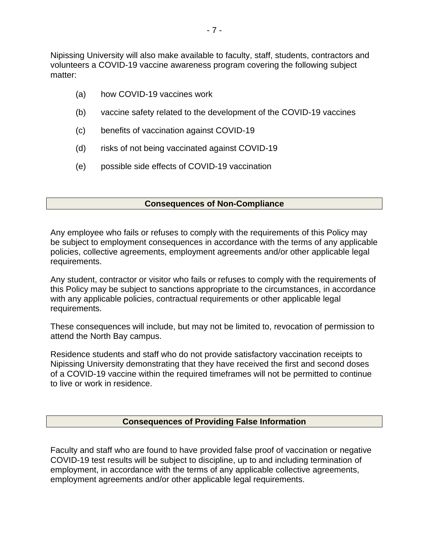Nipissing University will also make available to faculty, staff, students, contractors and volunteers a COVID-19 vaccine awareness program covering the following subject matter:

- (a) how COVID-19 vaccines work
- (b) vaccine safety related to the development of the COVID-19 vaccines
- (c) benefits of vaccination against COVID-19
- (d) risks of not being vaccinated against COVID-19
- (e) possible side effects of COVID-19 vaccination

## **Consequences of Non-Compliance**

Any employee who fails or refuses to comply with the requirements of this Policy may be subject to employment consequences in accordance with the terms of any applicable policies, collective agreements, employment agreements and/or other applicable legal requirements.

Any student, contractor or visitor who fails or refuses to comply with the requirements of this Policy may be subject to sanctions appropriate to the circumstances, in accordance with any applicable policies, contractual requirements or other applicable legal requirements.

These consequences will include, but may not be limited to, revocation of permission to attend the North Bay campus.

Residence students and staff who do not provide satisfactory vaccination receipts to Nipissing University demonstrating that they have received the first and second doses of a COVID-19 vaccine within the required timeframes will not be permitted to continue to live or work in residence.

# **Consequences of Providing False Information**

Faculty and staff who are found to have provided false proof of vaccination or negative COVID-19 test results will be subject to discipline, up to and including termination of employment, in accordance with the terms of any applicable collective agreements, employment agreements and/or other applicable legal requirements.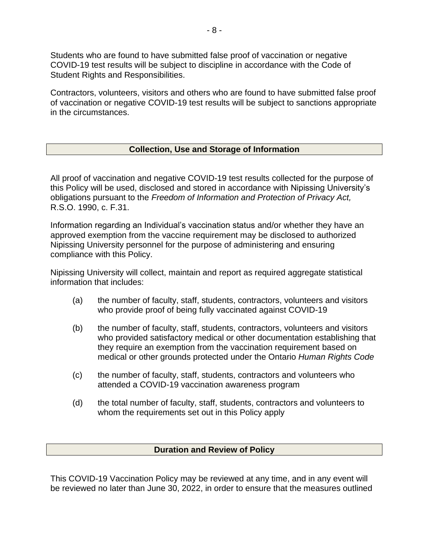Students who are found to have submitted false proof of vaccination or negative COVID-19 test results will be subject to discipline in accordance with the Code of Student Rights and Responsibilities.

Contractors, volunteers, visitors and others who are found to have submitted false proof of vaccination or negative COVID-19 test results will be subject to sanctions appropriate in the circumstances.

## **Collection, Use and Storage of Information**

All proof of vaccination and negative COVID-19 test results collected for the purpose of this Policy will be used, disclosed and stored in accordance with Nipissing University's obligations pursuant to the *Freedom of Information and Protection of Privacy Act,*  R.S.O. 1990, c. F.31.

Information regarding an Individual's vaccination status and/or whether they have an approved exemption from the vaccine requirement may be disclosed to authorized Nipissing University personnel for the purpose of administering and ensuring compliance with this Policy.

Nipissing University will collect, maintain and report as required aggregate statistical information that includes:

- (a) the number of faculty, staff, students, contractors, volunteers and visitors who provide proof of being fully vaccinated against COVID-19
- (b) the number of faculty, staff, students, contractors, volunteers and visitors who provided satisfactory medical or other documentation establishing that they require an exemption from the vaccination requirement based on medical or other grounds protected under the Ontario *Human Rights Code*
- (c) the number of faculty, staff, students, contractors and volunteers who attended a COVID-19 vaccination awareness program
- (d) the total number of faculty, staff, students, contractors and volunteers to whom the requirements set out in this Policy apply

#### **Duration and Review of Policy**

This COVID-19 Vaccination Policy may be reviewed at any time, and in any event will be reviewed no later than June 30, 2022, in order to ensure that the measures outlined